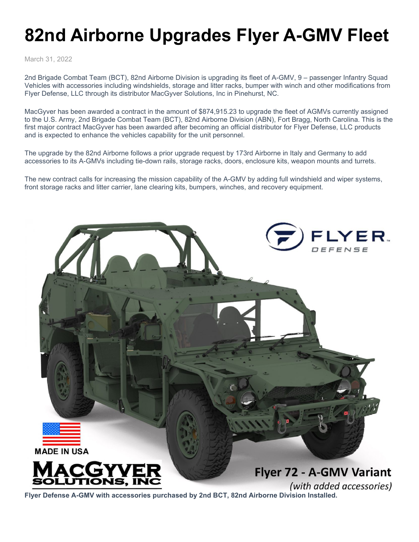## **82nd Airborne Upgrades Flyer A-GMV Fleet**

March 31, 2022

2nd Brigade Combat Team (BCT), 82nd Airborne Division is upgrading its fleet of A-GMV, 9 – passenger Infantry Squad Vehicles with accessories including windshields, storage and litter racks, bumper with winch and other modifications from Flyer Defense, LLC through its distributor MacGyver Solutions, Inc in Pinehurst, NC.

MacGyver has been awarded a contract in the amount of \$874,915.23 to upgrade the fleet of AGMVs currently assigned to the U.S. Army, 2nd Brigade Combat Team (BCT), 82nd Airborne Division (ABN), Fort Bragg, North Carolina. This is the first major contract MacGyver has been awarded after becoming an official distributor for Flyer Defense, LLC products and is expected to enhance the vehicles capability for the unit personnel.

The upgrade by the 82nd Airborne follows a prior upgrade request by 173rd Airborne in Italy and Germany to add accessories to its A-GMVs including tie-down rails, storage racks, doors, enclosure kits, weapon mounts and turrets.

The new contract calls for increasing the mission capability of the A-GMV by adding full windshield and wiper systems, front storage racks and litter carrier, lane clearing kits, bumpers, winches, and recovery equipment.



(with added accessories) **Flyer Defense A-GMV with accessories purchased by 2nd BCT, 82nd Airborne Division Installed.**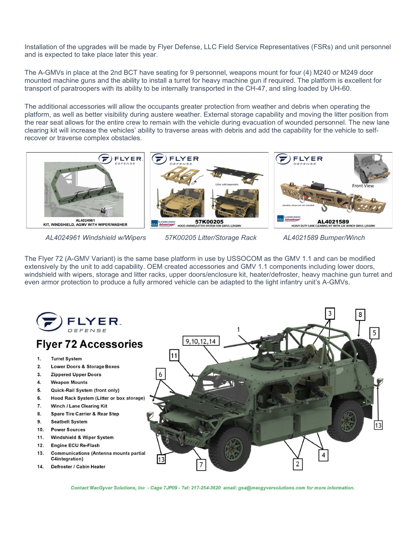Installation of the upgrades will be made by Flyer Defense, LLC Field Service Representatives (FSRs) and unit personnel and is expected to take place later this year.

The A-GMVs in place at the 2nd BCT have seating for 9 personnel, weapons mount for four (4) M240 or M249 door mounted machine guns and the ability to install a turret for heavy machine gun if required. The platform is excellent for transport of paratroopers with its ability to be internally transported in the CH-47, and sling loaded by UH-60.

The additional accessories will allow the occupants greater protection from weather and debris when operating the platform, as well as better visibility during austere weather. External storage capability and moving the litter position from the rear seat allows for the entire crew to remain with the vehicle during evacuation of wounded personnel. The new lane clearing kit will increase the vehicles' ability to traverse areas with debris and add the capability for the vehicle to selfrecover or traverse complex obstacles.



 *AL4024961 Windshield w/Wipers 57K00205 Litter/Storage Rack AL4021589 Bumper/Winch*

The Flyer 72 (A-GMV Variant) is the same base platform in use by USSOCOM as the GMV 1.1 and can be modified extensively by the unit to add capability. OEM created accessories and GMV 1.1 components including lower doors, windshield with wipers, storage and litter racks, upper doors/enclosure kit, heater/defroster, heavy machine gun turret and even armor protection to produce a fully armored vehicle can be adapted to the light infantry unit's A-GMVs.



Contact MacGyver Solutions, Inc - Cage 7JP09 - Tel: 217-254-3620 email: gsa@macgyversolutions.com for more information.